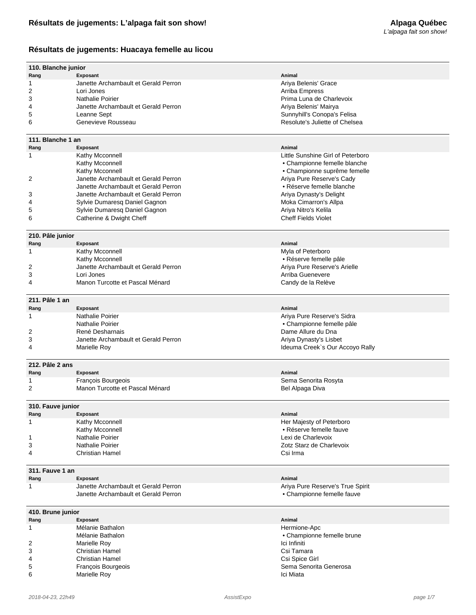## **Résultats de jugements: Huacaya femelle au licou**

| 110. Blanche junior       |                                      |                                   |  |
|---------------------------|--------------------------------------|-----------------------------------|--|
| Rang                      | Exposant                             | Animal                            |  |
| 1                         | Janette Archambault et Gerald Perron | Ariya Belenis' Grace              |  |
| 2                         | Lori Jones                           |                                   |  |
|                           |                                      | Arriba Empress                    |  |
| 3                         | <b>Nathalie Poirier</b>              | Prima Luna de Charlevoix          |  |
| 4                         | Janette Archambault et Gerald Perron | Ariya Belenis' Mairya             |  |
| 5                         | Leanne Sept                          | Sunnyhill's Conopa's Felisa       |  |
| 6                         | Genevieve Rousseau                   | Resolute's Juliette of Chelsea    |  |
|                           |                                      |                                   |  |
| 111. Blanche 1 an<br>Rang | Exposant                             | Animal                            |  |
|                           |                                      | Little Sunshine Girl of Peterboro |  |
| 1                         | Kathy Mcconnell                      |                                   |  |
|                           | Kathy Mcconnell                      | • Championne femelle blanche      |  |
|                           | Kathy Mcconnell                      | • Championne suprême femelle      |  |
| 2                         | Janette Archambault et Gerald Perron | Ariya Pure Reserve's Cady         |  |
|                           | Janette Archambault et Gerald Perron | • Réserve femelle blanche         |  |
| 3                         | Janette Archambault et Gerald Perron | Ariya Dynasty's Delight           |  |
| 4                         | Sylvie Dumaresq Daniel Gagnon        | Moka Cimarron's Allpa             |  |
| 5                         | Sylvie Dumaresq Daniel Gagnon        | Ariya Nitro's Kelila              |  |
| 6                         | Catherine & Dwight Cheff             | <b>Cheff Fields Violet</b>        |  |
|                           |                                      |                                   |  |
| 210. Pâle junior          |                                      |                                   |  |
| Rang                      | Exposant                             | Animal                            |  |
| 1                         | Kathy Mcconnell                      | Myla of Peterboro                 |  |
|                           | Kathy Mcconnell                      | • Réserve femelle pâle            |  |
| 2                         | Janette Archambault et Gerald Perron | Ariya Pure Reserve's Arielle      |  |
| 3                         | Lori Jones                           | Arriba Guenevere                  |  |
| 4                         | Manon Turcotte et Pascal Ménard      | Candy de la Relève                |  |
|                           |                                      |                                   |  |
| 211. Pâle 1 an            |                                      |                                   |  |
| Rang                      | Exposant                             | Animal                            |  |
| 1                         | Nathalie Poirier                     | Ariya Pure Reserve's Sidra        |  |
|                           | Nathalie Poirier                     | • Championne femelle pâle         |  |
| 2                         | René Desharnais                      | Dame Allure du Dna                |  |
| 3                         | Janette Archambault et Gerald Perron | Ariya Dynasty's Lisbet            |  |
| 4                         | Marielle Roy                         | Ideuma Creek's Our Accoyo Rally   |  |
|                           |                                      |                                   |  |
| 212. Pâle 2 ans           |                                      |                                   |  |
| Rang                      | <b>Exposant</b>                      | Animal                            |  |
| 1                         | François Bourgeois                   | Sema Senorita Rosyta              |  |
| 2                         | Manon Turcotte et Pascal Ménard      | Bel Alpaga Diva                   |  |
|                           |                                      |                                   |  |
| 310. Fauve junior         |                                      |                                   |  |
| Rang                      | Exposant                             | Animal                            |  |
| 1                         | Kathy Mcconnell                      | Her Majesty of Peterboro          |  |
|                           | Kathy Mcconnell                      | • Réserve femelle fauve           |  |
| 1                         | Nathalie Poirier                     | Lexi de Charlevoix                |  |
| 3                         | Nathalie Poirier                     | Zotz Starz de Charlevoix          |  |
| 4                         | <b>Christian Hamel</b>               | Csi Irma                          |  |
|                           |                                      |                                   |  |
| 311. Fauve 1 an<br>Rang   | Exposant                             | Animal                            |  |
| 1                         | Janette Archambault et Gerald Perron | Ariya Pure Reserve's True Spirit  |  |
|                           | Janette Archambault et Gerald Perron | • Championne femelle fauve        |  |
|                           |                                      |                                   |  |
| 410. Brune junior         |                                      |                                   |  |
| Rang                      | <b>Exposant</b>                      | Animal                            |  |
| 1                         | Mélanie Bathalon                     | Hermione-Apc                      |  |
|                           | Mélanie Bathalon                     | • Championne femelle brune        |  |
| 2                         | Marielle Roy                         | Ici Infiniti                      |  |
| 3                         | Christian Hamel                      | Csi Tamara                        |  |
| 4                         | <b>Christian Hamel</b>               | Csi Spice Girl                    |  |
|                           |                                      |                                   |  |
| 5                         | François Bourgeois                   | Sema Senorita Generosa            |  |
| 6                         | Marielle Roy                         | Ici Miata                         |  |

Marielle Roy **Ici Miata**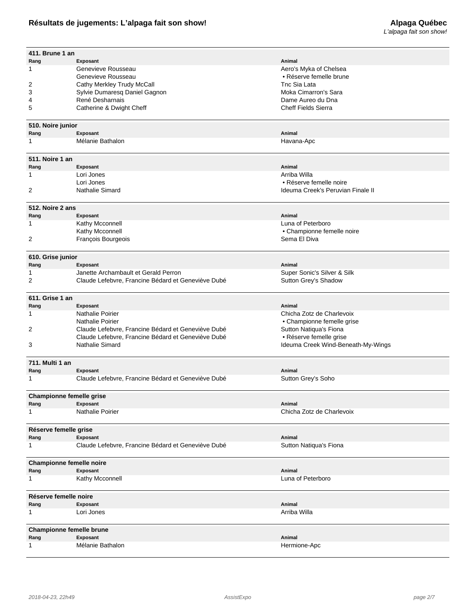# **Résultats de jugements: L'alpaga fait son show!**

| 411. Brune 1 an                 |                                                    | Animal                             |  |  |
|---------------------------------|----------------------------------------------------|------------------------------------|--|--|
| Rang<br>1                       | Exposant<br>Genevieve Rousseau                     | Aero's Myka of Chelsea             |  |  |
|                                 | Genevieve Rousseau                                 | • Réserve femelle brune            |  |  |
| 2                               | Cathy Merkley Trudy McCall                         | Tnc Sia Lata                       |  |  |
| 3                               | Sylvie Dumaresq Daniel Gagnon                      | Moka Cimarron's Sara               |  |  |
| 4                               | René Desharnais                                    | Dame Aureo du Dna                  |  |  |
| 5                               | Catherine & Dwight Cheff                           | <b>Cheff Fields Sierra</b>         |  |  |
|                                 |                                                    |                                    |  |  |
| 510. Noire junior               |                                                    |                                    |  |  |
| Rang                            | Exposant                                           | Animal                             |  |  |
| -1                              | Mélanie Bathalon                                   | Havana-Apc                         |  |  |
|                                 |                                                    |                                    |  |  |
| 511. Noire 1 an                 |                                                    |                                    |  |  |
| Rang                            | Exposant                                           | Animal                             |  |  |
| 1                               | Lori Jones                                         | Arriba Willa                       |  |  |
|                                 | Lori Jones                                         | • Réserve femelle noire            |  |  |
| $\overline{2}$                  | Nathalie Simard                                    | Ideuma Creek's Peruvian Finale II  |  |  |
|                                 |                                                    |                                    |  |  |
| 512. Noire 2 ans                |                                                    |                                    |  |  |
| Rang                            | Exposant                                           | Animal                             |  |  |
| 1                               | Kathy Mcconnell                                    | Luna of Peterboro                  |  |  |
|                                 | Kathy Mcconnell                                    | • Championne femelle noire         |  |  |
| $\overline{2}$                  | François Bourgeois                                 | Sema El Diva                       |  |  |
|                                 |                                                    |                                    |  |  |
| 610. Grise junior               |                                                    |                                    |  |  |
| Rang                            | Exposant                                           | Animal                             |  |  |
| 1                               | Janette Archambault et Gerald Perron               | Super Sonic's Silver & Silk        |  |  |
| $\overline{2}$                  | Claude Lefebvre, Francine Bédard et Geneviève Dubé | Sutton Grey's Shadow               |  |  |
|                                 |                                                    |                                    |  |  |
| 611. Grise 1 an                 |                                                    |                                    |  |  |
| Rang                            | Exposant                                           | Animal                             |  |  |
| -1                              | <b>Nathalie Poirier</b>                            | Chicha Zotz de Charlevoix          |  |  |
|                                 | <b>Nathalie Poirier</b>                            | • Championne femelle grise         |  |  |
| 2                               | Claude Lefebvre, Francine Bédard et Geneviève Dubé | Sutton Natiqua's Fiona             |  |  |
|                                 | Claude Lefebvre, Francine Bédard et Geneviève Dubé | • Réserve femelle grise            |  |  |
| 3                               | Nathalie Simard                                    | Ideuma Creek Wind-Beneath-My-Wings |  |  |
|                                 |                                                    |                                    |  |  |
| 711. Multi 1 an                 |                                                    |                                    |  |  |
| Rang                            | Exposant                                           | Animal                             |  |  |
| 1                               | Claude Lefebvre, Francine Bédard et Geneviève Dubé | Sutton Grey's Soho                 |  |  |
|                                 |                                                    |                                    |  |  |
| <b>Championne femelle grise</b> |                                                    |                                    |  |  |
| Rang                            | Exposant                                           | Animal                             |  |  |
| 1                               | Nathalie Poirier                                   | Chicha Zotz de Charlevoix          |  |  |
|                                 |                                                    |                                    |  |  |
| Réserve femelle grise           |                                                    |                                    |  |  |
| Rang                            | Exposant                                           | Animal                             |  |  |
| 1                               | Claude Lefebvre, Francine Bédard et Geneviève Dubé | Sutton Natiqua's Fiona             |  |  |
|                                 |                                                    |                                    |  |  |
| Championne femelle noire        |                                                    |                                    |  |  |
| Rang                            | Exposant                                           | Animal                             |  |  |
| 1                               | Kathy Mcconnell                                    | Luna of Peterboro                  |  |  |
|                                 |                                                    |                                    |  |  |
| Réserve femelle noire           |                                                    |                                    |  |  |
| Rang                            | Exposant                                           | Animal                             |  |  |
| 1                               | Lori Jones                                         | Arriba Willa                       |  |  |
|                                 |                                                    |                                    |  |  |
| Championne femelle brune        |                                                    |                                    |  |  |
| Rang                            | Exposant                                           | Animal                             |  |  |
| 1                               | Mélanie Bathalon                                   | Hermione-Apc                       |  |  |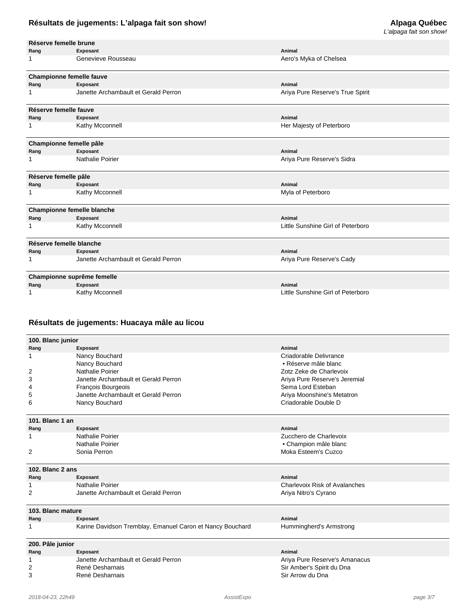# L'alpaga fait son show!

| Réserve femelle brune |                                      |                                   |
|-----------------------|--------------------------------------|-----------------------------------|
| Rang                  | Exposant                             | Animal                            |
| 1                     | Genevieve Rousseau                   | Aero's Myka of Chelsea            |
|                       | <b>Championne femelle fauve</b>      |                                   |
| Rang                  | Exposant                             | Animal                            |
| 1                     | Janette Archambault et Gerald Perron | Ariya Pure Reserve's True Spirit  |
| Réserve femelle fauve |                                      |                                   |
| Rang                  | Exposant                             | Animal                            |
| 1                     | Kathy Mcconnell                      | Her Majesty of Peterboro          |
|                       | Championne femelle pâle              |                                   |
| Rang                  | Exposant                             | Animal                            |
| 1                     | <b>Nathalie Poirier</b>              | Ariya Pure Reserve's Sidra        |
| Réserve femelle pâle  |                                      |                                   |
| Rang                  | Exposant                             | Animal                            |
| 1                     | Kathy Mcconnell                      | Myla of Peterboro                 |
|                       | <b>Championne femelle blanche</b>    |                                   |
| Rang                  | Exposant                             | Animal                            |
|                       | Kathy Mcconnell                      | Little Sunshine Girl of Peterboro |
|                       | Réserve femelle blanche              |                                   |
| Rang                  | Exposant                             | Animal                            |
| 1                     | Janette Archambault et Gerald Perron | Ariya Pure Reserve's Cady         |
|                       | Championne suprême femelle           |                                   |
| Rang                  | Exposant                             | Animal                            |
|                       | Kathy Mcconnell                      | Little Sunshine Girl of Peterboro |

## **Résultats de jugements: Huacaya mâle au licou**

| 100. Blanc junior |                                                           |                               |  |
|-------------------|-----------------------------------------------------------|-------------------------------|--|
| Rang              | Exposant                                                  | Animal                        |  |
| 1                 | Nancy Bouchard                                            | Criadorable Delivrance        |  |
|                   | Nancy Bouchard                                            | • Réserve mâle blanc          |  |
| 2                 | Nathalie Poirier                                          | Zotz Zeke de Charlevoix       |  |
| 3                 | Janette Archambault et Gerald Perron                      | Ariya Pure Reserve's Jeremial |  |
| 4                 | François Bourgeois                                        | Sema Lord Esteban             |  |
| 5                 | Janette Archambault et Gerald Perron                      | Ariya Moonshine's Metatron    |  |
| 6                 | Nancy Bouchard                                            | Criadorable Double D          |  |
| 101. Blanc 1 an   |                                                           |                               |  |
| Rang              | Exposant                                                  | Animal                        |  |
| 1                 | Nathalie Poirier                                          | Zucchero de Charlevoix        |  |
|                   | Nathalie Poirier                                          | • Champion mâle blanc         |  |
| 2                 | Sonia Perron                                              | Moka Esteem's Cuzco           |  |
| 102. Blanc 2 ans  |                                                           |                               |  |
| Rang              | Exposant                                                  | Animal                        |  |
| 1                 | Nathalie Poirier                                          | Charlevoix Risk of Avalanches |  |
| $\overline{2}$    | Janette Archambault et Gerald Perron                      | Ariya Nitro's Cyrano          |  |
| 103. Blanc mature |                                                           |                               |  |
| Rang              | Exposant                                                  | Animal                        |  |
|                   | Karine Davidson Tremblay, Emanuel Caron et Nancy Bouchard | Hummingherd's Armstrong       |  |
| 200. Pâle junior  |                                                           |                               |  |

#### **Rang Exposant Animal** 1 Janette Archambault et Gerald Perron **1988 and 1998 and 1998 and 1998 arithmetic Perron Ariya Pure Reserve's Amanacus**<br>1998 2 **Sir Amber's Spirit du Dna** 2 René Desharnais Chronic Chronic Chronic Chronic Chronic Chronic Chronic Chronic Chronic Chronic Chronic Chronic Chronic Chronic Chronic Chronic Chronic Chronic Chronic Chronic Chronic Chronic Chronic Chronic Chronic Chro 3 René Desharnais Sir Arrow du Dna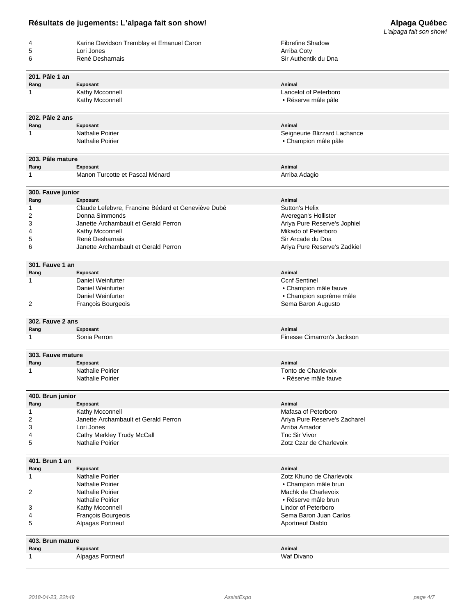|                          |                                                    |                               | L'alpaga fait son show! |
|--------------------------|----------------------------------------------------|-------------------------------|-------------------------|
| 4                        | Karine Davidson Tremblay et Emanuel Caron          | <b>Fibrefine Shadow</b>       |                         |
| 5                        | Lori Jones                                         | Arriba Coty                   |                         |
| 6                        | René Desharnais                                    | Sir Authentik du Dna          |                         |
|                          |                                                    |                               |                         |
| 201. Pâle 1 an           |                                                    |                               |                         |
| Rang                     | <b>Exposant</b>                                    | Animal                        |                         |
| 1                        | Kathy Mcconnell                                    | Lancelot of Peterboro         |                         |
|                          | Kathy Mcconnell                                    | • Réserve mâle pâle           |                         |
|                          |                                                    |                               |                         |
| 202. Pâle 2 ans          |                                                    |                               |                         |
| Rang                     | Exposant                                           | Animal                        |                         |
| 1                        | <b>Nathalie Poirier</b>                            | Seigneurie Blizzard Lachance  |                         |
|                          | <b>Nathalie Poirier</b>                            | • Champion mâle pâle          |                         |
|                          |                                                    |                               |                         |
| 203. Pâle mature         |                                                    |                               |                         |
| Rang                     | Exposant                                           | Animal                        |                         |
| 1                        | Manon Turcotte et Pascal Ménard                    | Arriba Adagio                 |                         |
|                          |                                                    |                               |                         |
| 300. Fauve junior        |                                                    |                               |                         |
| Rang                     | Exposant                                           | Animal                        |                         |
| 1                        | Claude Lefebvre, Francine Bédard et Geneviève Dubé | Sutton's Helix                |                         |
| 2                        | Donna Simmonds                                     | Averegan's Hollister          |                         |
| 3                        | Janette Archambault et Gerald Perron               | Ariya Pure Reserve's Jophiel  |                         |
| 4                        | Kathy Mcconnell                                    | Mikado of Peterboro           |                         |
| 5                        | René Desharnais                                    | Sir Arcade du Dna             |                         |
| 6                        | Janette Archambault et Gerald Perron               | Ariya Pure Reserve's Zadkiel  |                         |
|                          |                                                    |                               |                         |
| 301. Fauve 1 an          |                                                    |                               |                         |
| Rang                     | Exposant                                           | Animal                        |                         |
| 1                        | Daniel Weinfurter                                  | <b>Ccnf Sentinel</b>          |                         |
|                          | Daniel Weinfurter                                  | • Champion mâle fauve         |                         |
|                          | Daniel Weinfurter                                  | • Champion suprême mâle       |                         |
| 2                        | François Bourgeois                                 | Sema Baron Augusto            |                         |
|                          |                                                    |                               |                         |
| 302. Fauve 2 ans         |                                                    |                               |                         |
| Rang                     | Exposant                                           | Animal                        |                         |
| 1                        | Sonia Perron                                       | Finesse Cimarron's Jackson    |                         |
|                          |                                                    |                               |                         |
| 303. Fauve mature        |                                                    |                               |                         |
| Rang                     | Exposant                                           | Animal                        |                         |
| 1                        | <b>Nathalie Poirier</b>                            | Tonto de Charlevoix           |                         |
|                          | Nathalie Poirier                                   | • Réserve mâle fauve          |                         |
|                          |                                                    |                               |                         |
| 400. Brun junior         |                                                    |                               |                         |
| Rang                     | Exposant                                           | Animal                        |                         |
| 1                        | Kathy Mcconnell                                    | Mafasa of Peterboro           |                         |
| 2                        | Janette Archambault et Gerald Perron               | Ariya Pure Reserve's Zacharel |                         |
| 3                        | Lori Jones                                         | Arriba Amador                 |                         |
| 4                        | Cathy Merkley Trudy McCall                         | Tnc Sir Vivor                 |                         |
| 5                        | <b>Nathalie Poirier</b>                            | Zotz Czar de Charlevoix       |                         |
|                          |                                                    |                               |                         |
| 401. Brun 1 an           |                                                    |                               |                         |
| Rang                     | Exposant                                           | Animal                        |                         |
| 1                        | Nathalie Poirier                                   | Zotz Khuno de Charlevoix      |                         |
|                          | Nathalie Poirier                                   | • Champion mâle brun          |                         |
| 2                        | <b>Nathalie Poirier</b>                            | Machk de Charlevoix           |                         |
|                          | Nathalie Poirier                                   | • Réserve mâle brun           |                         |
| 3                        | Kathy Mcconnell                                    | Lindor of Peterboro           |                         |
| 4                        | François Bourgeois                                 | Sema Baron Juan Carlos        |                         |
| 5                        | Alpagas Portneuf                                   | <b>Aportneuf Diablo</b>       |                         |
|                          |                                                    |                               |                         |
|                          |                                                    |                               |                         |
| 403. Brun mature<br>Rang | Exposant                                           | Animal                        |                         |
| 1                        | Alpagas Portneuf                                   | Waf Divano                    |                         |
|                          |                                                    |                               |                         |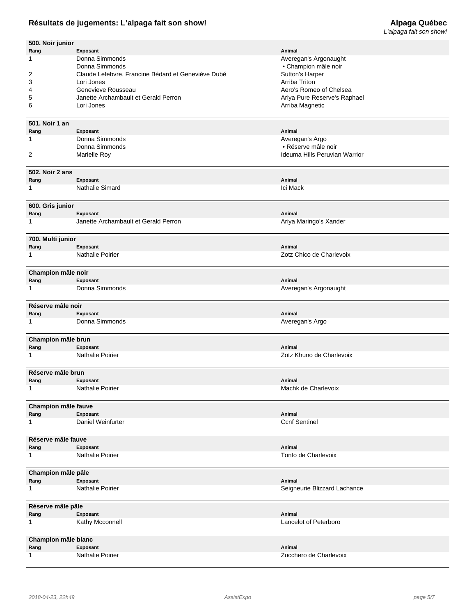# **Résultats de jugements: L'alpaga fait son show!**

| 500. Noir junior           |                                                    |                               |
|----------------------------|----------------------------------------------------|-------------------------------|
| Rang                       | Exposant                                           | Animal                        |
| 1                          | Donna Simmonds                                     | Averegan's Argonaught         |
|                            | Donna Simmonds                                     | • Champion mâle noir          |
| 2                          | Claude Lefebvre, Francine Bédard et Geneviève Dubé | Sutton's Harper               |
| 3                          | Lori Jones                                         | Arriba Triton                 |
| 4                          | Genevieve Rousseau                                 | Aero's Romeo of Chelsea       |
| 5                          | Janette Archambault et Gerald Perron<br>Lori Jones | Ariya Pure Reserve's Raphael  |
| 6                          |                                                    | Arriba Magnetic               |
| 501. Noir 1 an             |                                                    |                               |
| Rang                       | Exposant                                           | Animal                        |
| 1                          | Donna Simmonds                                     | Averegan's Argo               |
|                            | Donna Simmonds                                     | • Réserve mâle noir           |
| 2                          | Marielle Roy                                       | Ideuma Hills Peruvian Warrior |
|                            |                                                    |                               |
| 502. Noir 2 ans            |                                                    |                               |
| Rang                       | Exposant                                           | Animal                        |
| 1                          | Nathalie Simard                                    | Ici Mack                      |
|                            |                                                    |                               |
| 600. Gris junior           |                                                    |                               |
| Rang<br>1                  | Exposant<br>Janette Archambault et Gerald Perron   | Animal                        |
|                            |                                                    | Ariya Maringo's Xander        |
| 700. Multi junior          |                                                    |                               |
| Rang                       | Exposant                                           | Animal                        |
| 1                          | Nathalie Poirier                                   | Zotz Chico de Charlevoix      |
|                            |                                                    |                               |
| Champion mâle noir         |                                                    |                               |
| Rang                       | Exposant                                           | Animal                        |
| 1                          | Donna Simmonds                                     | Averegan's Argonaught         |
|                            |                                                    |                               |
| Réserve mâle noir          |                                                    |                               |
| Rang                       | Exposant                                           | Animal                        |
| 1                          | Donna Simmonds                                     | Averegan's Argo               |
| Champion mâle brun         |                                                    |                               |
| Rang                       | Exposant                                           | Animal                        |
| $\mathbf{1}$               | Nathalie Poirier                                   | Zotz Khuno de Charlevoix      |
|                            |                                                    |                               |
| Réserve mâle brun          |                                                    |                               |
| Rang                       | Exposant                                           | Animal                        |
| 1                          | Nathalie Poirier                                   | Machk de Charlevoix           |
|                            |                                                    |                               |
| Champion mâle fauve        |                                                    |                               |
| Rang                       | Exposant                                           | Animal                        |
| $\mathbf{1}$               | Daniel Weinfurter                                  | <b>Ccnf Sentinel</b>          |
|                            |                                                    |                               |
| Réserve mâle fauve<br>Rang | Exposant                                           | Animal                        |
| $\mathbf 1$                | Nathalie Poirier                                   | Tonto de Charlevoix           |
|                            |                                                    |                               |
| Champion mâle pâle         |                                                    |                               |
| Rang                       | Exposant                                           | Animal                        |
| 1                          | Nathalie Poirier                                   | Seigneurie Blizzard Lachance  |
|                            |                                                    |                               |
| Réserve mâle pâle          |                                                    |                               |
| Rang                       | Exposant                                           | Animal                        |
| $\mathbf{1}$               | Kathy Mcconnell                                    | Lancelot of Peterboro         |
| Champion mâle blanc        |                                                    |                               |
| Rang                       | Exposant                                           | Animal                        |
| $\mathbf{1}$               | Nathalie Poirier                                   | Zucchero de Charlevoix        |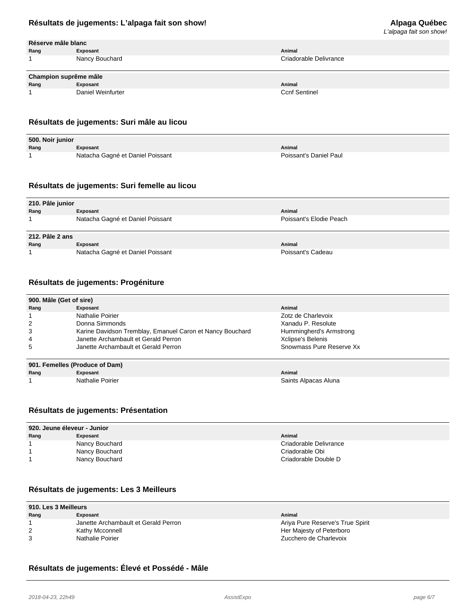# L'alpaga fait son show!

| Réserve mâle blanc |                |        |
|--------------------|----------------|--------|
| Rang               | Exposant       | Animal |
| -1                 | Nancy Bouchard | Criado |

|      | Champion suprême mâle |        |
|------|-----------------------|--------|
| Rang | Exposant              | Animal |
|      | Daniel Weinfurter     | Ccnf S |

#### **Résultats de jugements: Suri mâle au licou**

| 500. Noir junior |                                  |                        |
|------------------|----------------------------------|------------------------|
| Rang             | Exposant                         | Animal                 |
|                  | Natacha Gagné et Daniel Poissant | Poissant's Daniel Paul |

## **Résultats de jugements: Suri femelle au licou**

| 210. Pâle junior |                                  |                         |  |
|------------------|----------------------------------|-------------------------|--|
| Rang             | Exposant                         | Animal                  |  |
|                  | Natacha Gagné et Daniel Poissant | Poissant's Elodie Peach |  |
|                  |                                  |                         |  |
|                  |                                  |                         |  |
| 212. Pâle 2 ans  |                                  |                         |  |
| Rang             | Exposant                         | Animal                  |  |

## **Résultats de jugements: Progéniture**

| 900. Mâle (Get of sire)        |                                                           |                          |  |
|--------------------------------|-----------------------------------------------------------|--------------------------|--|
| Rang                           | Exposant                                                  | Animal                   |  |
|                                | Nathalie Poirier                                          | Zotz de Charlevoix       |  |
| 2                              | Donna Simmonds                                            | Xanadu P. Resolute       |  |
| 3                              | Karine Davidson Tremblay, Emanuel Caron et Nancy Bouchard | Hummingherd's Armstrong  |  |
| 4                              | Janette Archambault et Gerald Perron                      | Xclipse's Belenis        |  |
| 5                              | Janette Archambault et Gerald Perron                      | Snowmass Pure Reserve Xx |  |
|                                |                                                           |                          |  |
| 901. Femelles (Produce of Dam) |                                                           |                          |  |

**Rang Exposant Animal** 1 **1** Nathalie Poirier Saints Alpacas Aluna Nathalie Poirier Saints Alpacas Aluna Nathalie Poirier Saints Alpacas Aluna

### **Résultats de jugements: Présentation**

| 920. Jeune éleveur - Junior |                |                        |  |
|-----------------------------|----------------|------------------------|--|
| Rang                        | Exposant       | Animal                 |  |
|                             | Nancy Bouchard | Criadorable Delivrance |  |
|                             | Nancy Bouchard | Criadorable Obi        |  |
|                             | Nancy Bouchard | Criadorable Double D   |  |

### **Résultats de jugements: Les 3 Meilleurs**

| 910. Les 3 Meilleurs |                                      |                                  |  |  |
|----------------------|--------------------------------------|----------------------------------|--|--|
| Rang                 | Exposant                             | Animal                           |  |  |
|                      | Janette Archambault et Gerald Perron | Ariya Pure Reserve's True Spirit |  |  |
|                      | Kathy Mcconnell                      | Her Majesty of Peterboro         |  |  |
| 3                    | Nathalie Poirier                     | Zucchero de Charlevoix           |  |  |

## **Résultats de jugements: Élevé et Possédé - Mâle**

Criadorable Delivrance

**Ccnf Sentinel**